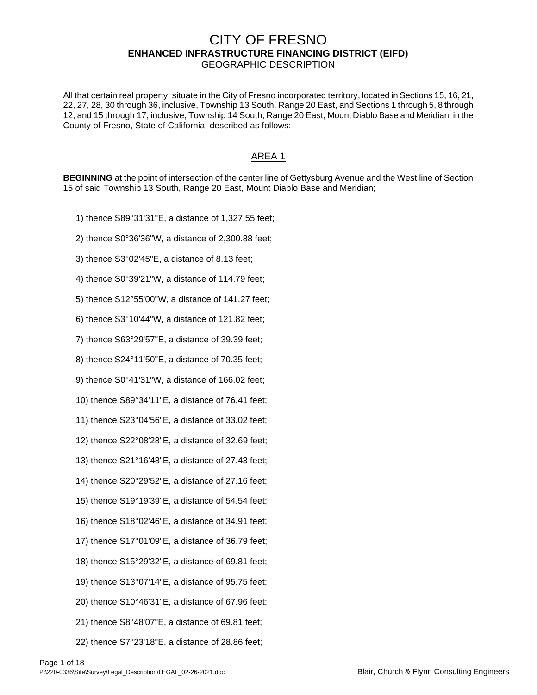## CITY OF FRESNO **ENHANCED INFRASTRUCTURE FINANCING DISTRICT (EIFD)** GEOGRAPHIC DESCRIPTION

All that certain real property, situate in the City of Fresno incorporated territory, located in Sections 15, 16, 21, 22, 27, 28, 30 through 36, inclusive, Township 13 South, Range 20 East, and Sections 1 through 5, 8 through 12, and 15 through 17, inclusive, Township 14 South, Range 20 East, Mount Diablo Base and Meridian, in the County of Fresno, State of California, described as follows:

## AREA 1

**BEGINNING** at the point of intersection of the center line of Gettysburg Avenue and the West line of Section 15 of said Township 13 South, Range 20 East, Mount Diablo Base and Meridian;

- 1) thence S89°31'31"E, a distance of 1,327.55 feet;
- 2) thence S0°36'36"W, a distance of 2,300.88 feet;
- 3) thence S3°02'45"E, a distance of 8.13 feet;
- 4) thence S0°39'21"W, a distance of 114.79 feet;
- 5) thence S12°55'00"W, a distance of 141.27 feet;
- 6) thence S3°10'44"W, a distance of 121.82 feet;
- 7) thence S63°29'57"E, a distance of 39.39 feet;
- 8) thence S24°11'50"E, a distance of 70.35 feet;
- 9) thence S0°41'31"W, a distance of 166.02 feet;
- 10) thence S89°34'11"E, a distance of 76.41 feet;
- 11) thence S23°04'56"E, a distance of 33.02 feet;
- 12) thence S22°08'28"E, a distance of 32.69 feet;
- 13) thence S21°16'48"E, a distance of 27.43 feet;
- 14) thence S20°29'52"E, a distance of 27.16 feet;
- 15) thence S19°19'39"E, a distance of 54.54 feet;
- 16) thence S18°02'46"E, a distance of 34.91 feet;
- 17) thence S17°01'09"E, a distance of 36.79 feet;
- 18) thence S15°29'32"E, a distance of 69.81 feet;
- 19) thence S13°07'14"E, a distance of 95.75 feet;
- 20) thence S10°46'31"E, a distance of 67.96 feet;
- 21) thence S8°48'07"E, a distance of 69.81 feet;
- 22) thence S7°23'18"E, a distance of 28.86 feet;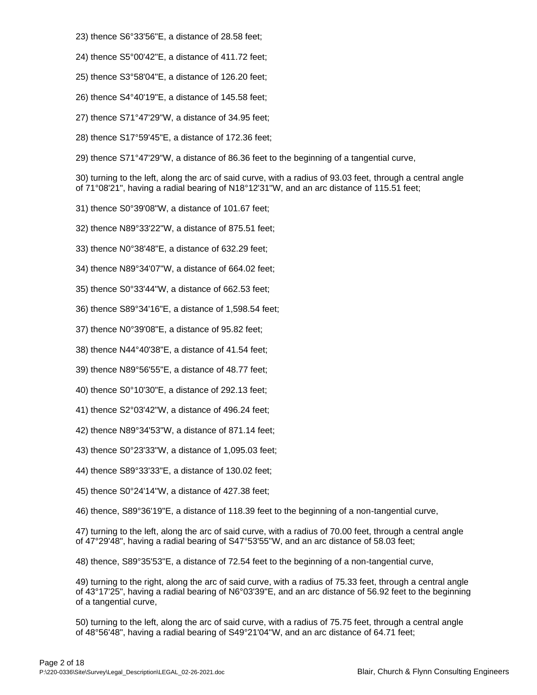- 23) thence S6°33'56"E, a distance of 28.58 feet;
- 24) thence S5°00'42"E, a distance of 411.72 feet;
- 25) thence S3°58'04"E, a distance of 126.20 feet;
- 26) thence S4°40'19"E, a distance of 145.58 feet;
- 27) thence S71°47'29"W, a distance of 34.95 feet;
- 28) thence S17°59'45"E, a distance of 172.36 feet;
- 29) thence S71°47'29"W, a distance of 86.36 feet to the beginning of a tangential curve,

30) turning to the left, along the arc of said curve, with a radius of 93.03 feet, through a central angle of 71°08'21", having a radial bearing of N18°12'31"W, and an arc distance of 115.51 feet;

- 31) thence S0°39'08"W, a distance of 101.67 feet;
- 32) thence N89°33'22"W, a distance of 875.51 feet;
- 33) thence N0°38'48"E, a distance of 632.29 feet;
- 34) thence N89°34'07"W, a distance of 664.02 feet;
- 35) thence S0°33'44"W, a distance of 662.53 feet;
- 36) thence S89°34'16"E, a distance of 1,598.54 feet;
- 37) thence N0°39'08"E, a distance of 95.82 feet;
- 38) thence N44°40'38"E, a distance of 41.54 feet;
- 39) thence N89°56'55"E, a distance of 48.77 feet;
- 40) thence S0°10'30"E, a distance of 292.13 feet;
- 41) thence S2°03'42"W, a distance of 496.24 feet;
- 42) thence N89°34'53"W, a distance of 871.14 feet;
- 43) thence S0°23'33"W, a distance of 1,095.03 feet;
- 44) thence S89°33'33"E, a distance of 130.02 feet;
- 45) thence S0°24'14"W, a distance of 427.38 feet;

46) thence, S89°36'19"E, a distance of 118.39 feet to the beginning of a non-tangential curve,

47) turning to the left, along the arc of said curve, with a radius of 70.00 feet, through a central angle of 47°29'48", having a radial bearing of S47°53'55"W, and an arc distance of 58.03 feet;

48) thence, S89°35'53"E, a distance of 72.54 feet to the beginning of a non-tangential curve,

49) turning to the right, along the arc of said curve, with a radius of 75.33 feet, through a central angle of 43°17'25", having a radial bearing of N6°03'39"E, and an arc distance of 56.92 feet to the beginning of a tangential curve,

50) turning to the left, along the arc of said curve, with a radius of 75.75 feet, through a central angle of 48°56'48", having a radial bearing of S49°21'04"W, and an arc distance of 64.71 feet;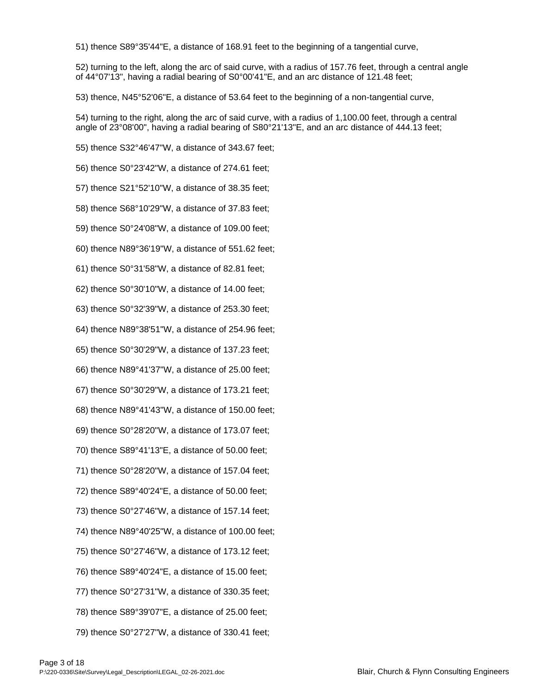51) thence S89°35'44"E, a distance of 168.91 feet to the beginning of a tangential curve,

52) turning to the left, along the arc of said curve, with a radius of 157.76 feet, through a central angle of 44°07'13", having a radial bearing of S0°00'41"E, and an arc distance of 121.48 feet;

53) thence, N45°52'06"E, a distance of 53.64 feet to the beginning of a non-tangential curve,

54) turning to the right, along the arc of said curve, with a radius of 1,100.00 feet, through a central angle of 23°08'00", having a radial bearing of S80°21'13"E, and an arc distance of 444.13 feet;

55) thence S32°46'47"W, a distance of 343.67 feet;

56) thence S0°23'42"W, a distance of 274.61 feet;

57) thence S21°52'10"W, a distance of 38.35 feet;

58) thence S68°10'29"W, a distance of 37.83 feet;

59) thence S0°24'08"W, a distance of 109.00 feet;

60) thence N89°36'19"W, a distance of 551.62 feet;

61) thence S0°31'58"W, a distance of 82.81 feet;

62) thence S0°30'10"W, a distance of 14.00 feet;

63) thence S0°32'39"W, a distance of 253.30 feet;

64) thence N89°38'51"W, a distance of 254.96 feet;

65) thence S0°30'29"W, a distance of 137.23 feet;

66) thence N89°41'37"W, a distance of 25.00 feet;

67) thence S0°30'29"W, a distance of 173.21 feet;

68) thence N89°41'43"W, a distance of 150.00 feet;

69) thence S0°28'20"W, a distance of 173.07 feet;

70) thence S89°41'13"E, a distance of 50.00 feet;

71) thence S0°28'20"W, a distance of 157.04 feet;

72) thence S89°40'24"E, a distance of 50.00 feet;

73) thence S0°27'46"W, a distance of 157.14 feet;

74) thence N89°40'25"W, a distance of 100.00 feet;

75) thence S0°27'46"W, a distance of 173.12 feet;

76) thence S89°40'24"E, a distance of 15.00 feet;

77) thence S0°27'31"W, a distance of 330.35 feet;

78) thence S89°39'07"E, a distance of 25.00 feet;

79) thence S0°27'27"W, a distance of 330.41 feet;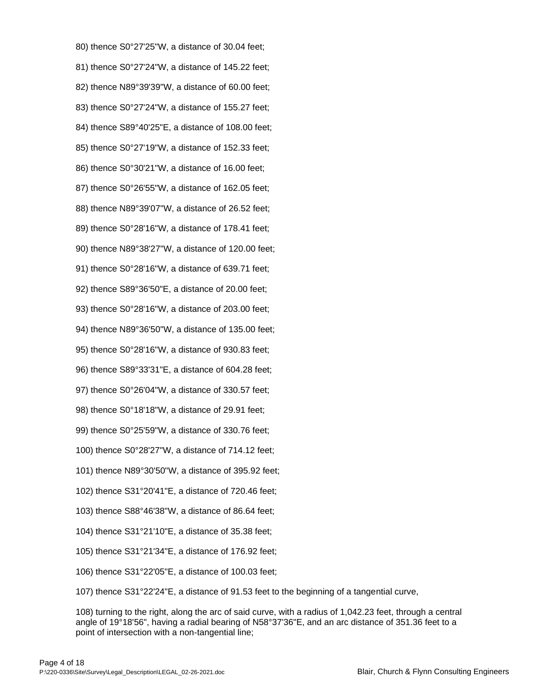80) thence S0°27'25"W, a distance of 30.04 feet; 81) thence S0°27'24"W, a distance of 145.22 feet; 82) thence N89°39'39"W, a distance of 60.00 feet; 83) thence S0°27'24"W, a distance of 155.27 feet; 84) thence S89°40'25"E, a distance of 108.00 feet; 85) thence S0°27'19"W, a distance of 152.33 feet; 86) thence S0°30'21"W, a distance of 16.00 feet; 87) thence S0°26'55"W, a distance of 162.05 feet; 88) thence N89°39'07"W, a distance of 26.52 feet; 89) thence S0°28'16"W, a distance of 178.41 feet; 90) thence N89°38'27"W, a distance of 120.00 feet; 91) thence S0°28'16"W, a distance of 639.71 feet; 92) thence S89°36'50"E, a distance of 20.00 feet; 93) thence S0°28'16"W, a distance of 203.00 feet; 94) thence N89°36'50"W, a distance of 135.00 feet; 95) thence S0°28'16"W, a distance of 930.83 feet; 96) thence S89°33'31"E, a distance of 604.28 feet; 97) thence S0°26'04"W, a distance of 330.57 feet; 98) thence S0°18'18"W, a distance of 29.91 feet; 99) thence S0°25'59"W, a distance of 330.76 feet; 100) thence S0°28'27"W, a distance of 714.12 feet; 101) thence N89°30'50"W, a distance of 395.92 feet; 102) thence S31°20'41"E, a distance of 720.46 feet; 103) thence S88°46'38"W, a distance of 86.64 feet; 104) thence S31°21'10"E, a distance of 35.38 feet; 105) thence S31°21'34"E, a distance of 176.92 feet;

106) thence S31°22'05"E, a distance of 100.03 feet;

107) thence S31°22'24"E, a distance of 91.53 feet to the beginning of a tangential curve,

108) turning to the right, along the arc of said curve, with a radius of 1,042.23 feet, through a central angle of 19°18'56", having a radial bearing of N58°37'36"E, and an arc distance of 351.36 feet to a point of intersection with a non-tangential line;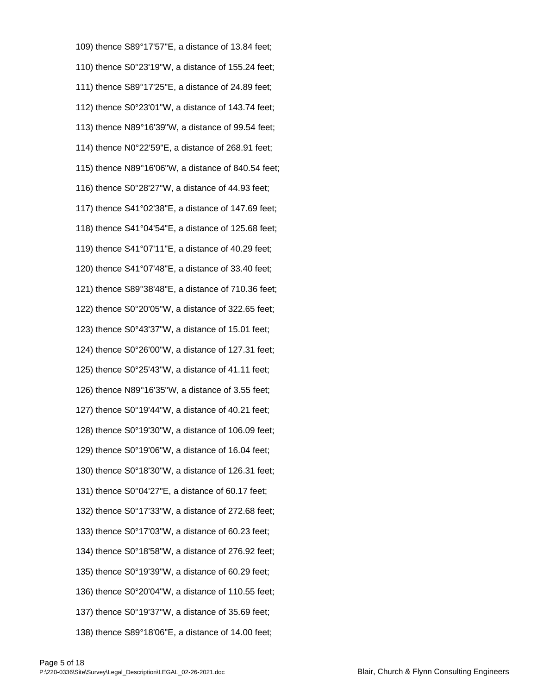109) thence S89°17'57"E, a distance of 13.84 feet; 110) thence S0°23'19"W, a distance of 155.24 feet; 111) thence S89°17'25"E, a distance of 24.89 feet; 112) thence S0°23'01"W, a distance of 143.74 feet; 113) thence N89°16'39"W, a distance of 99.54 feet; 114) thence N0°22'59"E, a distance of 268.91 feet; 115) thence N89°16'06"W, a distance of 840.54 feet; 116) thence S0°28'27"W, a distance of 44.93 feet; 117) thence S41°02'38"E, a distance of 147.69 feet; 118) thence S41°04'54"E, a distance of 125.68 feet; 119) thence S41°07'11"E, a distance of 40.29 feet; 120) thence S41°07'48"E, a distance of 33.40 feet; 121) thence S89°38'48"E, a distance of 710.36 feet; 122) thence S0°20'05"W, a distance of 322.65 feet; 123) thence S0°43'37"W, a distance of 15.01 feet; 124) thence S0°26'00"W, a distance of 127.31 feet; 125) thence S0°25'43"W, a distance of 41.11 feet; 126) thence N89°16'35"W, a distance of 3.55 feet; 127) thence S0°19'44"W, a distance of 40.21 feet; 128) thence S0°19'30"W, a distance of 106.09 feet; 129) thence S0°19'06"W, a distance of 16.04 feet; 130) thence S0°18'30"W, a distance of 126.31 feet; 131) thence S0°04'27"E, a distance of 60.17 feet; 132) thence S0°17'33"W, a distance of 272.68 feet; 133) thence S0°17'03"W, a distance of 60.23 feet; 134) thence S0°18'58"W, a distance of 276.92 feet; 135) thence S0°19'39"W, a distance of 60.29 feet; 136) thence S0°20'04"W, a distance of 110.55 feet; 137) thence S0°19'37"W, a distance of 35.69 feet; 138) thence S89°18'06"E, a distance of 14.00 feet;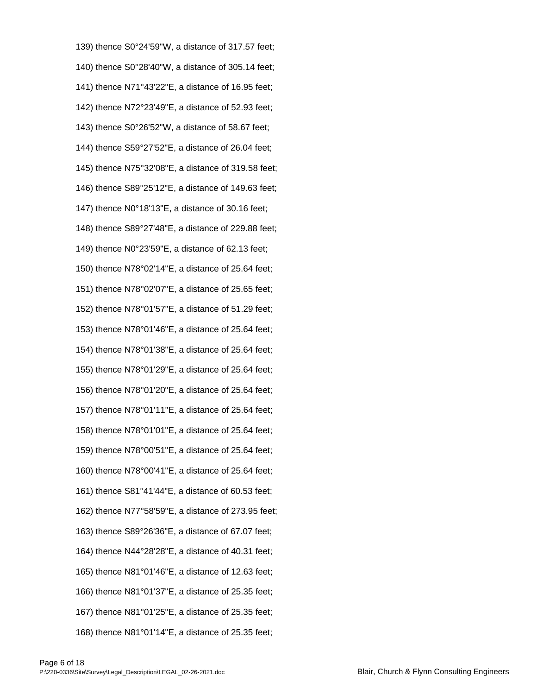139) thence S0°24'59"W, a distance of 317.57 feet; 140) thence S0°28'40"W, a distance of 305.14 feet; 141) thence N71°43'22"E, a distance of 16.95 feet; 142) thence N72°23'49"E, a distance of 52.93 feet; 143) thence S0°26'52"W, a distance of 58.67 feet; 144) thence S59°27'52"E, a distance of 26.04 feet; 145) thence N75°32'08"E, a distance of 319.58 feet; 146) thence S89°25'12"E, a distance of 149.63 feet; 147) thence N0°18'13"E, a distance of 30.16 feet; 148) thence S89°27'48"E, a distance of 229.88 feet; 149) thence N0°23'59"E, a distance of 62.13 feet; 150) thence N78°02'14"E, a distance of 25.64 feet; 151) thence N78°02'07"E, a distance of 25.65 feet; 152) thence N78°01'57"E, a distance of 51.29 feet; 153) thence N78°01'46"E, a distance of 25.64 feet; 154) thence N78°01'38"E, a distance of 25.64 feet; 155) thence N78°01'29"E, a distance of 25.64 feet; 156) thence N78°01'20"E, a distance of 25.64 feet; 157) thence N78°01'11"E, a distance of 25.64 feet; 158) thence N78°01'01"E, a distance of 25.64 feet; 159) thence N78°00'51"E, a distance of 25.64 feet; 160) thence N78°00'41"E, a distance of 25.64 feet; 161) thence S81°41'44"E, a distance of 60.53 feet; 162) thence N77°58'59"E, a distance of 273.95 feet; 163) thence S89°26'36"E, a distance of 67.07 feet; 164) thence N44°28'28"E, a distance of 40.31 feet; 165) thence N81°01'46"E, a distance of 12.63 feet; 166) thence N81°01'37"E, a distance of 25.35 feet; 167) thence N81°01'25"E, a distance of 25.35 feet; 168) thence N81°01'14"E, a distance of 25.35 feet;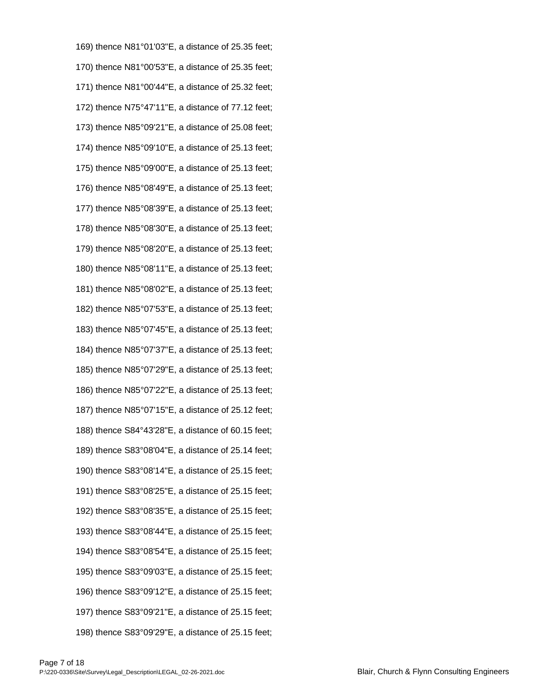169) thence N81°01'03"E, a distance of 25.35 feet; 170) thence N81°00'53"E, a distance of 25.35 feet; 171) thence N81°00'44"E, a distance of 25.32 feet; 172) thence N75°47'11"E, a distance of 77.12 feet; 173) thence N85°09'21"E, a distance of 25.08 feet; 174) thence N85°09'10"E, a distance of 25.13 feet; 175) thence N85°09'00"E, a distance of 25.13 feet; 176) thence N85°08'49"E, a distance of 25.13 feet; 177) thence N85°08'39"E, a distance of 25.13 feet; 178) thence N85°08'30"E, a distance of 25.13 feet; 179) thence N85°08'20"E, a distance of 25.13 feet; 180) thence N85°08'11"E, a distance of 25.13 feet; 181) thence N85°08'02"E, a distance of 25.13 feet; 182) thence N85°07'53"E, a distance of 25.13 feet; 183) thence N85°07'45"E, a distance of 25.13 feet; 184) thence N85°07'37"E, a distance of 25.13 feet; 185) thence N85°07'29"E, a distance of 25.13 feet; 186) thence N85°07'22"E, a distance of 25.13 feet; 187) thence N85°07'15"E, a distance of 25.12 feet; 188) thence S84°43'28"E, a distance of 60.15 feet; 189) thence S83°08'04"E, a distance of 25.14 feet; 190) thence S83°08'14"E, a distance of 25.15 feet; 191) thence S83°08'25"E, a distance of 25.15 feet; 192) thence S83°08'35"E, a distance of 25.15 feet; 193) thence S83°08'44"E, a distance of 25.15 feet; 194) thence S83°08'54"E, a distance of 25.15 feet; 195) thence S83°09'03"E, a distance of 25.15 feet; 196) thence S83°09'12"E, a distance of 25.15 feet; 197) thence S83°09'21"E, a distance of 25.15 feet; 198) thence S83°09'29"E, a distance of 25.15 feet;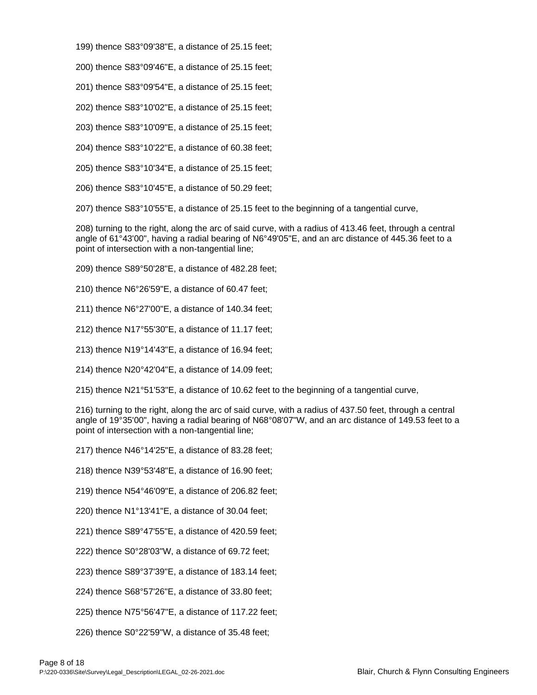- 199) thence S83°09'38"E, a distance of 25.15 feet;
- 200) thence S83°09'46"E, a distance of 25.15 feet;
- 201) thence S83°09'54"E, a distance of 25.15 feet;
- 202) thence S83°10'02"E, a distance of 25.15 feet;
- 203) thence S83°10'09"E, a distance of 25.15 feet;
- 204) thence S83°10'22"E, a distance of 60.38 feet;
- 205) thence S83°10'34"E, a distance of 25.15 feet;
- 206) thence S83°10'45"E, a distance of 50.29 feet;

207) thence S83°10'55"E, a distance of 25.15 feet to the beginning of a tangential curve,

208) turning to the right, along the arc of said curve, with a radius of 413.46 feet, through a central angle of 61°43'00", having a radial bearing of N6°49'05"E, and an arc distance of 445.36 feet to a point of intersection with a non-tangential line;

- 209) thence S89°50'28"E, a distance of 482.28 feet;
- 210) thence N6°26'59"E, a distance of 60.47 feet;
- 211) thence N6°27'00"E, a distance of 140.34 feet;
- 212) thence N17°55'30"E, a distance of 11.17 feet;
- 213) thence N19°14'43"E, a distance of 16.94 feet;
- 214) thence N20°42'04"E, a distance of 14.09 feet;
- 215) thence N21°51'53"E, a distance of 10.62 feet to the beginning of a tangential curve,

216) turning to the right, along the arc of said curve, with a radius of 437.50 feet, through a central angle of 19°35'00", having a radial bearing of N68°08'07"W, and an arc distance of 149.53 feet to a point of intersection with a non-tangential line;

- 217) thence N46°14'25"E, a distance of 83.28 feet;
- 218) thence N39°53'48"E, a distance of 16.90 feet;
- 219) thence N54°46'09"E, a distance of 206.82 feet;
- 220) thence N1°13'41"E, a distance of 30.04 feet;
- 221) thence S89°47'55"E, a distance of 420.59 feet;
- 222) thence S0°28'03"W, a distance of 69.72 feet;
- 223) thence S89°37'39"E, a distance of 183.14 feet;
- 224) thence S68°57'26"E, a distance of 33.80 feet;
- 225) thence N75°56'47"E, a distance of 117.22 feet;
- 226) thence S0°22'59"W, a distance of 35.48 feet;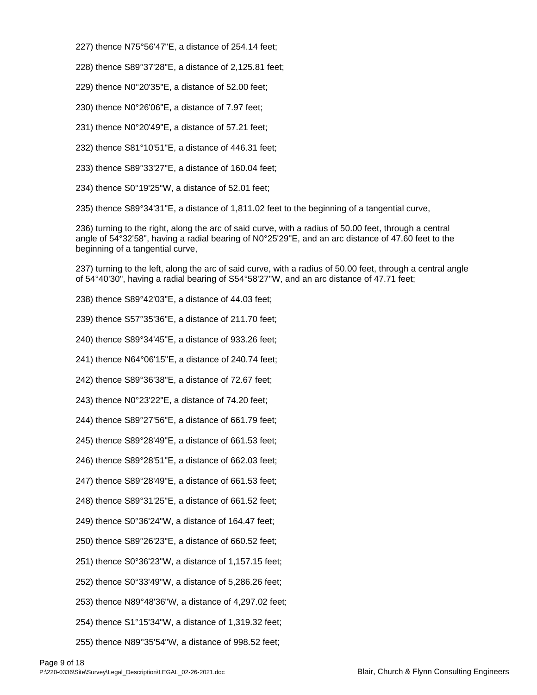227) thence N75°56'47"E, a distance of 254.14 feet;

228) thence S89°37'28"E, a distance of 2,125.81 feet;

229) thence N0°20'35"E, a distance of 52.00 feet;

- 230) thence N0°26'06"E, a distance of 7.97 feet;
- 231) thence N0°20'49"E, a distance of 57.21 feet;
- 232) thence S81°10'51"E, a distance of 446.31 feet;
- 233) thence S89°33'27"E, a distance of 160.04 feet;
- 234) thence S0°19'25"W, a distance of 52.01 feet;

235) thence S89°34'31"E, a distance of 1,811.02 feet to the beginning of a tangential curve,

236) turning to the right, along the arc of said curve, with a radius of 50.00 feet, through a central angle of 54°32'58", having a radial bearing of N0°25'29"E, and an arc distance of 47.60 feet to the beginning of a tangential curve,

237) turning to the left, along the arc of said curve, with a radius of 50.00 feet, through a central angle of 54°40'30", having a radial bearing of S54°58'27"W, and an arc distance of 47.71 feet;

238) thence S89°42'03"E, a distance of 44.03 feet;

239) thence S57°35'36"E, a distance of 211.70 feet;

240) thence S89°34'45"E, a distance of 933.26 feet;

241) thence N64°06'15"E, a distance of 240.74 feet;

242) thence S89°36'38"E, a distance of 72.67 feet;

243) thence N0°23'22"E, a distance of 74.20 feet;

244) thence S89°27'56"E, a distance of 661.79 feet;

245) thence S89°28'49"E, a distance of 661.53 feet;

246) thence S89°28'51"E, a distance of 662.03 feet;

247) thence S89°28'49"E, a distance of 661.53 feet;

248) thence S89°31'25"E, a distance of 661.52 feet;

249) thence S0°36'24"W, a distance of 164.47 feet;

250) thence S89°26'23"E, a distance of 660.52 feet;

251) thence S0°36'23"W, a distance of 1,157.15 feet;

252) thence S0°33'49"W, a distance of 5,286.26 feet;

253) thence N89°48'36"W, a distance of 4,297.02 feet;

254) thence S1°15'34"W, a distance of 1,319.32 feet;

255) thence N89°35'54"W, a distance of 998.52 feet;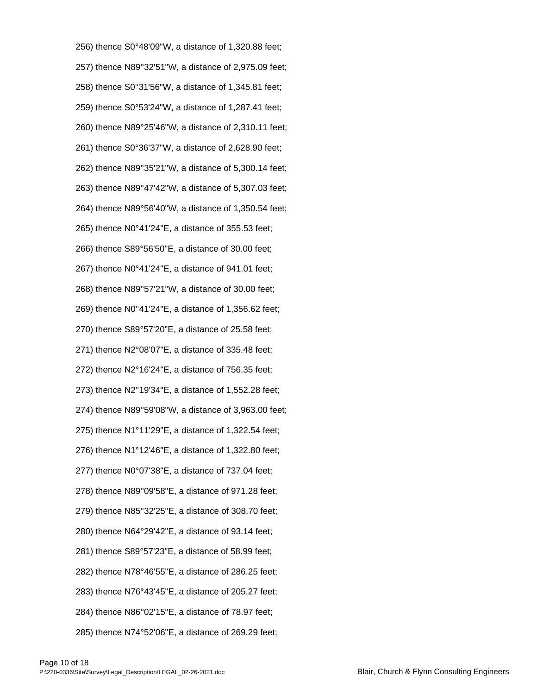256) thence S0°48'09"W, a distance of 1,320.88 feet; 257) thence N89°32'51"W, a distance of 2,975.09 feet; 258) thence S0°31'56"W, a distance of 1,345.81 feet; 259) thence S0°53'24"W, a distance of 1,287.41 feet; 260) thence N89°25'46"W, a distance of 2,310.11 feet; 261) thence S0°36'37"W, a distance of 2,628.90 feet; 262) thence N89°35'21"W, a distance of 5,300.14 feet; 263) thence N89°47'42"W, a distance of 5,307.03 feet; 264) thence N89°56'40"W, a distance of 1,350.54 feet; 265) thence N0°41'24"E, a distance of 355.53 feet; 266) thence S89°56'50"E, a distance of 30.00 feet; 267) thence N0°41'24"E, a distance of 941.01 feet; 268) thence N89°57'21"W, a distance of 30.00 feet; 269) thence N0°41'24"E, a distance of 1,356.62 feet; 270) thence S89°57'20"E, a distance of 25.58 feet; 271) thence N2°08'07"E, a distance of 335.48 feet; 272) thence N2°16'24"E, a distance of 756.35 feet; 273) thence N2°19'34"E, a distance of 1,552.28 feet; 274) thence N89°59'08"W, a distance of 3,963.00 feet; 275) thence N1°11'29"E, a distance of 1,322.54 feet; 276) thence N1°12'46"E, a distance of 1,322.80 feet; 277) thence N0°07'38"E, a distance of 737.04 feet; 278) thence N89°09'58"E, a distance of 971.28 feet; 279) thence N85°32'25"E, a distance of 308.70 feet; 280) thence N64°29'42"E, a distance of 93.14 feet; 281) thence S89°57'23"E, a distance of 58.99 feet; 282) thence N78°46'55"E, a distance of 286.25 feet; 283) thence N76°43'45"E, a distance of 205.27 feet; 284) thence N86°02'15"E, a distance of 78.97 feet; 285) thence N74°52'06"E, a distance of 269.29 feet;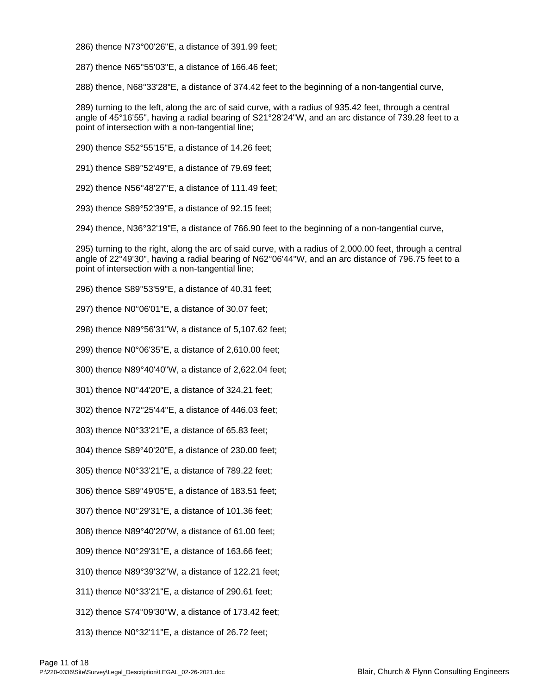286) thence N73°00'26"E, a distance of 391.99 feet;

287) thence N65°55'03"E, a distance of 166.46 feet;

288) thence, N68°33'28"E, a distance of 374.42 feet to the beginning of a non-tangential curve,

289) turning to the left, along the arc of said curve, with a radius of 935.42 feet, through a central angle of 45°16'55", having a radial bearing of S21°28'24"W, and an arc distance of 739.28 feet to a point of intersection with a non-tangential line;

290) thence S52°55'15"E, a distance of 14.26 feet;

291) thence S89°52'49"E, a distance of 79.69 feet;

292) thence N56°48'27"E, a distance of 111.49 feet;

293) thence S89°52'39"E, a distance of 92.15 feet;

294) thence, N36°32'19"E, a distance of 766.90 feet to the beginning of a non-tangential curve,

295) turning to the right, along the arc of said curve, with a radius of 2,000.00 feet, through a central angle of 22°49'30", having a radial bearing of N62°06'44"W, and an arc distance of 796.75 feet to a point of intersection with a non-tangential line;

296) thence S89°53'59"E, a distance of 40.31 feet;

297) thence N0°06'01"E, a distance of 30.07 feet;

298) thence N89°56'31"W, a distance of 5,107.62 feet;

299) thence N0°06'35"E, a distance of 2,610.00 feet;

300) thence N89°40'40"W, a distance of 2,622.04 feet;

301) thence N0°44'20"E, a distance of 324.21 feet;

302) thence N72°25'44"E, a distance of 446.03 feet;

303) thence N0°33'21"E, a distance of 65.83 feet;

304) thence S89°40'20"E, a distance of 230.00 feet;

305) thence N0°33'21"E, a distance of 789.22 feet;

306) thence S89°49'05"E, a distance of 183.51 feet;

307) thence N0°29'31"E, a distance of 101.36 feet;

308) thence N89°40'20"W, a distance of 61.00 feet;

309) thence N0°29'31"E, a distance of 163.66 feet;

310) thence N89°39'32"W, a distance of 122.21 feet;

311) thence N0°33'21"E, a distance of 290.61 feet;

312) thence S74°09'30"W, a distance of 173.42 feet;

313) thence N0°32'11"E, a distance of 26.72 feet;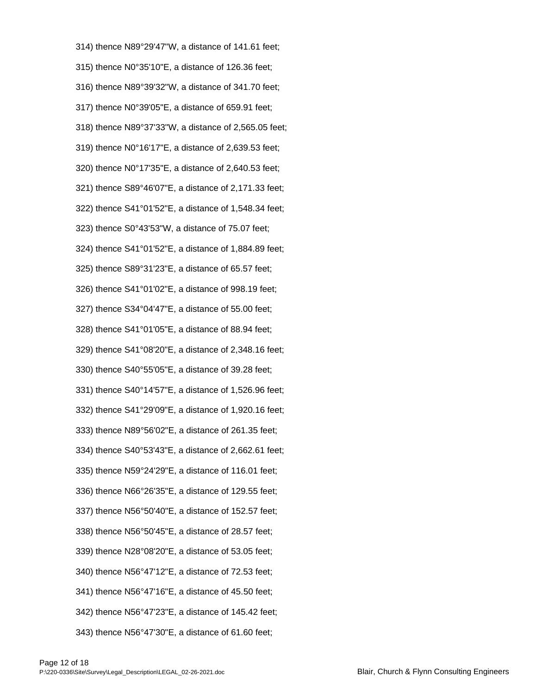314) thence N89°29'47"W, a distance of 141.61 feet; 315) thence N0°35'10"E, a distance of 126.36 feet; 316) thence N89°39'32"W, a distance of 341.70 feet; 317) thence N0°39'05"E, a distance of 659.91 feet; 318) thence N89°37'33"W, a distance of 2,565.05 feet; 319) thence N0°16'17"E, a distance of 2,639.53 feet; 320) thence N0°17'35"E, a distance of 2,640.53 feet; 321) thence S89°46'07"E, a distance of 2,171.33 feet; 322) thence S41°01'52"E, a distance of 1,548.34 feet; 323) thence S0°43'53"W, a distance of 75.07 feet; 324) thence S41°01'52"E, a distance of 1,884.89 feet; 325) thence S89°31'23"E, a distance of 65.57 feet; 326) thence S41°01'02"E, a distance of 998.19 feet; 327) thence S34°04'47"E, a distance of 55.00 feet; 328) thence S41°01'05"E, a distance of 88.94 feet; 329) thence S41°08'20"E, a distance of 2,348.16 feet; 330) thence S40°55'05"E, a distance of 39.28 feet; 331) thence S40°14'57"E, a distance of 1,526.96 feet; 332) thence S41°29'09"E, a distance of 1,920.16 feet; 333) thence N89°56'02"E, a distance of 261.35 feet; 334) thence S40°53'43"E, a distance of 2,662.61 feet; 335) thence N59°24'29"E, a distance of 116.01 feet; 336) thence N66°26'35"E, a distance of 129.55 feet; 337) thence N56°50'40"E, a distance of 152.57 feet; 338) thence N56°50'45"E, a distance of 28.57 feet; 339) thence N28°08'20"E, a distance of 53.05 feet; 340) thence N56°47'12"E, a distance of 72.53 feet; 341) thence N56°47'16"E, a distance of 45.50 feet; 342) thence N56°47'23"E, a distance of 145.42 feet; 343) thence N56°47'30"E, a distance of 61.60 feet;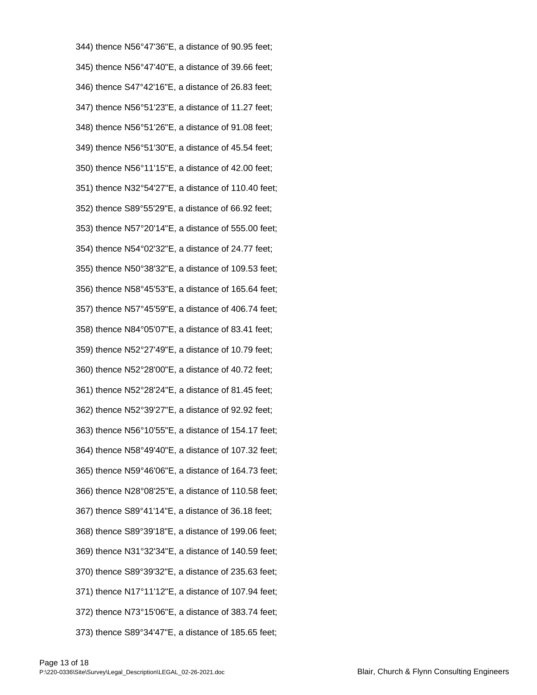344) thence N56°47'36"E, a distance of 90.95 feet; 345) thence N56°47'40"E, a distance of 39.66 feet; 346) thence S47°42'16"E, a distance of 26.83 feet; 347) thence N56°51'23"E, a distance of 11.27 feet; 348) thence N56°51'26"E, a distance of 91.08 feet; 349) thence N56°51'30"E, a distance of 45.54 feet; 350) thence N56°11'15"E, a distance of 42.00 feet; 351) thence N32°54'27"E, a distance of 110.40 feet; 352) thence S89°55'29"E, a distance of 66.92 feet; 353) thence N57°20'14"E, a distance of 555.00 feet; 354) thence N54°02'32"E, a distance of 24.77 feet; 355) thence N50°38'32"E, a distance of 109.53 feet; 356) thence N58°45'53"E, a distance of 165.64 feet; 357) thence N57°45'59"E, a distance of 406.74 feet; 358) thence N84°05'07"E, a distance of 83.41 feet; 359) thence N52°27'49"E, a distance of 10.79 feet; 360) thence N52°28'00"E, a distance of 40.72 feet; 361) thence N52°28'24"E, a distance of 81.45 feet; 362) thence N52°39'27"E, a distance of 92.92 feet; 363) thence N56°10'55"E, a distance of 154.17 feet; 364) thence N58°49'40"E, a distance of 107.32 feet; 365) thence N59°46'06"E, a distance of 164.73 feet; 366) thence N28°08'25"E, a distance of 110.58 feet; 367) thence S89°41'14"E, a distance of 36.18 feet; 368) thence S89°39'18"E, a distance of 199.06 feet; 369) thence N31°32'34"E, a distance of 140.59 feet; 370) thence S89°39'32"E, a distance of 235.63 feet; 371) thence N17°11'12"E, a distance of 107.94 feet; 372) thence N73°15'06"E, a distance of 383.74 feet; 373) thence S89°34'47"E, a distance of 185.65 feet;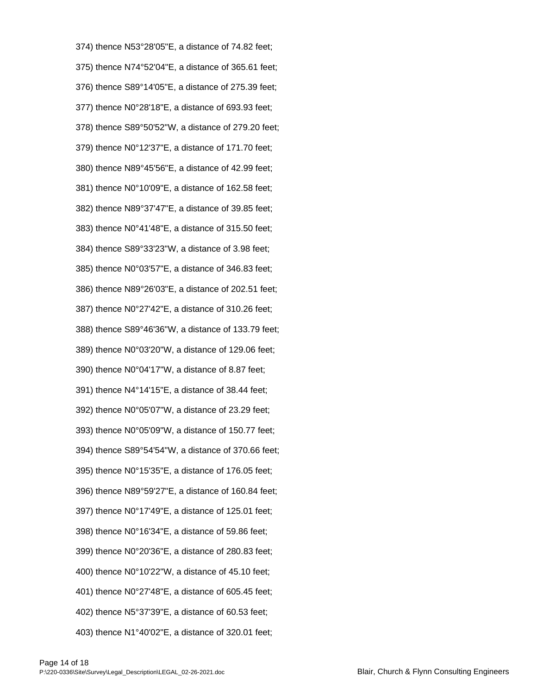374) thence N53°28'05"E, a distance of 74.82 feet; 375) thence N74°52'04"E, a distance of 365.61 feet; 376) thence S89°14'05"E, a distance of 275.39 feet; 377) thence N0°28'18"E, a distance of 693.93 feet; 378) thence S89°50'52"W, a distance of 279.20 feet; 379) thence N0°12'37"E, a distance of 171.70 feet; 380) thence N89°45'56"E, a distance of 42.99 feet; 381) thence N0°10'09"E, a distance of 162.58 feet; 382) thence N89°37'47"E, a distance of 39.85 feet; 383) thence N0°41'48"E, a distance of 315.50 feet; 384) thence S89°33'23"W, a distance of 3.98 feet; 385) thence N0°03'57"E, a distance of 346.83 feet; 386) thence N89°26'03"E, a distance of 202.51 feet; 387) thence N0°27'42"E, a distance of 310.26 feet; 388) thence S89°46'36"W, a distance of 133.79 feet; 389) thence N0°03'20"W, a distance of 129.06 feet; 390) thence N0°04'17"W, a distance of 8.87 feet; 391) thence N4°14'15"E, a distance of 38.44 feet; 392) thence N0°05'07"W, a distance of 23.29 feet; 393) thence N0°05'09"W, a distance of 150.77 feet; 394) thence S89°54'54"W, a distance of 370.66 feet; 395) thence N0°15'35"E, a distance of 176.05 feet; 396) thence N89°59'27"E, a distance of 160.84 feet; 397) thence N0°17'49"E, a distance of 125.01 feet; 398) thence N0°16'34"E, a distance of 59.86 feet; 399) thence N0°20'36"E, a distance of 280.83 feet; 400) thence N0°10'22"W, a distance of 45.10 feet; 401) thence N0°27'48"E, a distance of 605.45 feet; 402) thence N5°37'39"E, a distance of 60.53 feet; 403) thence N1°40'02"E, a distance of 320.01 feet;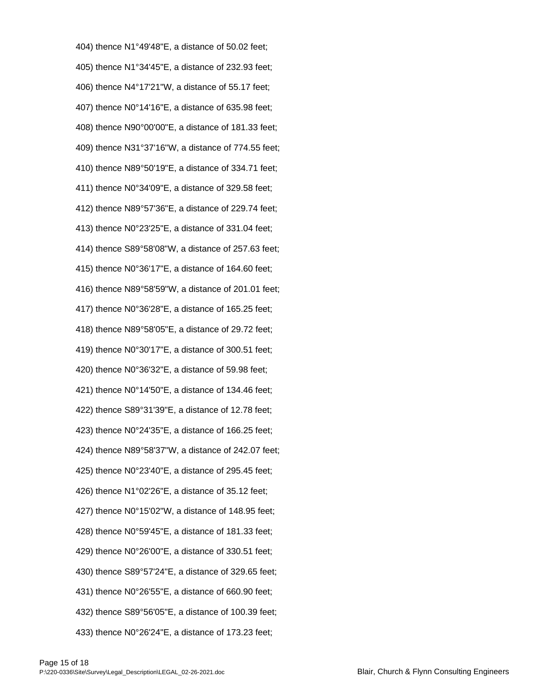404) thence N1°49'48"E, a distance of 50.02 feet; 405) thence N1°34'45"E, a distance of 232.93 feet; 406) thence N4°17'21"W, a distance of 55.17 feet; 407) thence N0°14'16"E, a distance of 635.98 feet; 408) thence N90°00'00"E, a distance of 181.33 feet; 409) thence N31°37'16"W, a distance of 774.55 feet; 410) thence N89°50'19"E, a distance of 334.71 feet; 411) thence N0°34'09"E, a distance of 329.58 feet; 412) thence N89°57'36"E, a distance of 229.74 feet; 413) thence N0°23'25"E, a distance of 331.04 feet; 414) thence S89°58'08"W, a distance of 257.63 feet; 415) thence N0°36'17"E, a distance of 164.60 feet; 416) thence N89°58'59"W, a distance of 201.01 feet; 417) thence N0°36'28"E, a distance of 165.25 feet; 418) thence N89°58'05"E, a distance of 29.72 feet; 419) thence N0°30'17"E, a distance of 300.51 feet; 420) thence N0°36'32"E, a distance of 59.98 feet; 421) thence N0°14'50"E, a distance of 134.46 feet; 422) thence S89°31'39"E, a distance of 12.78 feet; 423) thence N0°24'35"E, a distance of 166.25 feet; 424) thence N89°58'37"W, a distance of 242.07 feet; 425) thence N0°23'40"E, a distance of 295.45 feet; 426) thence N1°02'26"E, a distance of 35.12 feet; 427) thence N0°15'02"W, a distance of 148.95 feet; 428) thence N0°59'45"E, a distance of 181.33 feet; 429) thence N0°26'00"E, a distance of 330.51 feet; 430) thence S89°57'24"E, a distance of 329.65 feet; 431) thence N0°26'55"E, a distance of 660.90 feet; 432) thence S89°56'05"E, a distance of 100.39 feet; 433) thence N0°26'24"E, a distance of 173.23 feet;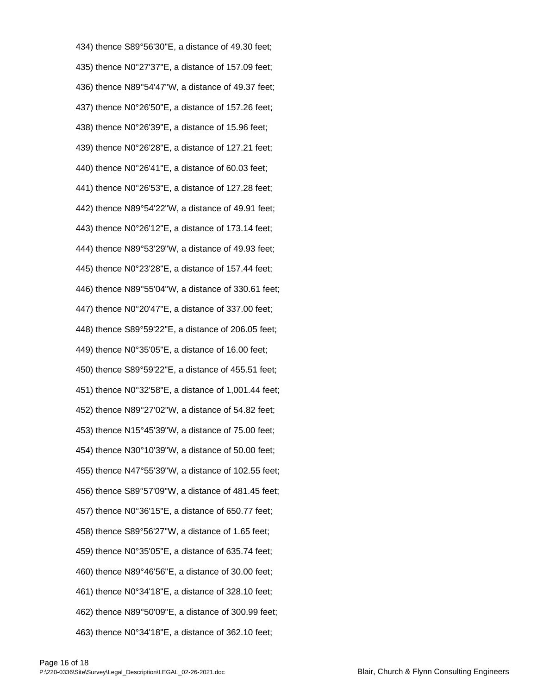434) thence S89°56'30"E, a distance of 49.30 feet; 435) thence N0°27'37"E, a distance of 157.09 feet; 436) thence N89°54'47"W, a distance of 49.37 feet; 437) thence N0°26'50"E, a distance of 157.26 feet; 438) thence N0°26'39"E, a distance of 15.96 feet; 439) thence N0°26'28"E, a distance of 127.21 feet; 440) thence N0°26'41"E, a distance of 60.03 feet; 441) thence N0°26'53"E, a distance of 127.28 feet; 442) thence N89°54'22"W, a distance of 49.91 feet; 443) thence N0°26'12"E, a distance of 173.14 feet; 444) thence N89°53'29"W, a distance of 49.93 feet; 445) thence N0°23'28"E, a distance of 157.44 feet; 446) thence N89°55'04"W, a distance of 330.61 feet; 447) thence N0°20'47"E, a distance of 337.00 feet; 448) thence S89°59'22"E, a distance of 206.05 feet; 449) thence N0°35'05"E, a distance of 16.00 feet; 450) thence S89°59'22"E, a distance of 455.51 feet; 451) thence N0°32'58"E, a distance of 1,001.44 feet; 452) thence N89°27'02"W, a distance of 54.82 feet; 453) thence N15°45'39"W, a distance of 75.00 feet; 454) thence N30°10'39"W, a distance of 50.00 feet; 455) thence N47°55'39"W, a distance of 102.55 feet; 456) thence S89°57'09"W, a distance of 481.45 feet; 457) thence N0°36'15"E, a distance of 650.77 feet; 458) thence S89°56'27"W, a distance of 1.65 feet; 459) thence N0°35'05"E, a distance of 635.74 feet; 460) thence N89°46'56"E, a distance of 30.00 feet; 461) thence N0°34'18"E, a distance of 328.10 feet; 462) thence N89°50'09"E, a distance of 300.99 feet; 463) thence N0°34'18"E, a distance of 362.10 feet;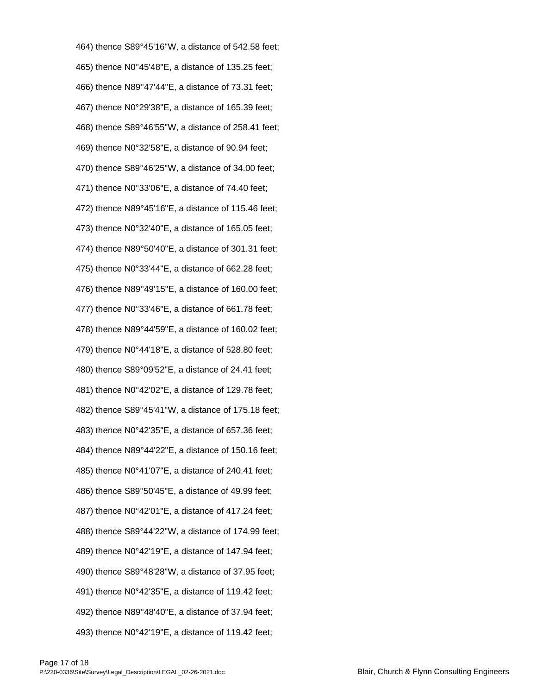464) thence S89°45'16"W, a distance of 542.58 feet; 465) thence N0°45'48"E, a distance of 135.25 feet; 466) thence N89°47'44"E, a distance of 73.31 feet; 467) thence N0°29'38"E, a distance of 165.39 feet; 468) thence S89°46'55"W, a distance of 258.41 feet; 469) thence N0°32'58"E, a distance of 90.94 feet; 470) thence S89°46'25"W, a distance of 34.00 feet; 471) thence N0°33'06"E, a distance of 74.40 feet; 472) thence N89°45'16"E, a distance of 115.46 feet; 473) thence N0°32'40"E, a distance of 165.05 feet; 474) thence N89°50'40"E, a distance of 301.31 feet; 475) thence N0°33'44"E, a distance of 662.28 feet; 476) thence N89°49'15"E, a distance of 160.00 feet; 477) thence N0°33'46"E, a distance of 661.78 feet; 478) thence N89°44'59"E, a distance of 160.02 feet; 479) thence N0°44'18"E, a distance of 528.80 feet; 480) thence S89°09'52"E, a distance of 24.41 feet; 481) thence N0°42'02"E, a distance of 129.78 feet; 482) thence S89°45'41"W, a distance of 175.18 feet; 483) thence N0°42'35"E, a distance of 657.36 feet; 484) thence N89°44'22"E, a distance of 150.16 feet; 485) thence N0°41'07"E, a distance of 240.41 feet; 486) thence S89°50'45"E, a distance of 49.99 feet; 487) thence N0°42'01"E, a distance of 417.24 feet; 488) thence S89°44'22"W, a distance of 174.99 feet; 489) thence N0°42'19"E, a distance of 147.94 feet; 490) thence S89°48'28"W, a distance of 37.95 feet; 491) thence N0°42'35"E, a distance of 119.42 feet; 492) thence N89°48'40"E, a distance of 37.94 feet; 493) thence N0°42'19"E, a distance of 119.42 feet;